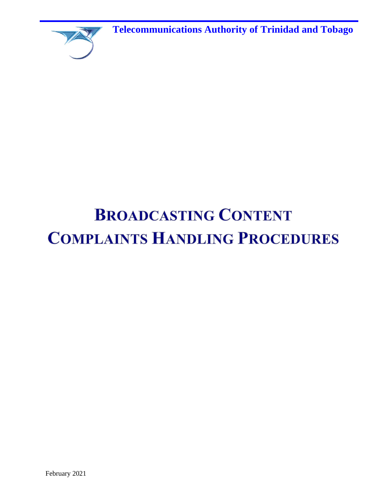**Telecommunications Authority of Trinidad and Tobago**



# **BROADCASTING CONTENT COMPLAINTS HANDLING PROCEDURES**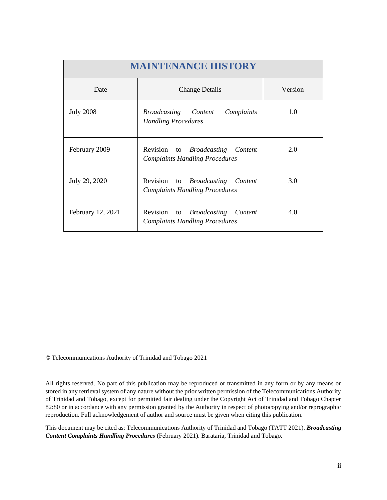| <b>MAINTENANCE HISTORY</b> |                                                                                  |         |  |  |  |
|----------------------------|----------------------------------------------------------------------------------|---------|--|--|--|
| Date                       | <b>Change Details</b>                                                            | Version |  |  |  |
| <b>July 2008</b>           | Complaints<br><i>Broadcasting Content</i><br><b>Handling Procedures</b>          | 1.0     |  |  |  |
| February 2009              | Revision to <i>Broadcasting Content</i><br><b>Complaints Handling Procedures</b> | 2.0     |  |  |  |
| July 29, 2020              | Revision to <i>Broadcasting Content</i><br><b>Complaints Handling Procedures</b> | 3.0     |  |  |  |
| February 12, 2021          | Revision to <i>Broadcasting Content</i><br><b>Complaints Handling Procedures</b> | 4.0     |  |  |  |

© Telecommunications Authority of Trinidad and Tobago 2021

All rights reserved. No part of this publication may be reproduced or transmitted in any form or by any means or stored in any retrieval system of any nature without the prior written permission of the Telecommunications Authority of Trinidad and Tobago, except for permitted fair dealing under the Copyright Act of Trinidad and Tobago Chapter 82:80 or in accordance with any permission granted by the Authority in respect of photocopying and/or reprographic reproduction. Full acknowledgement of author and source must be given when citing this publication.

This document may be cited as: Telecommunications Authority of Trinidad and Tobago (TATT 2021). *Broadcasting Content Complaints Handling Procedures* (February 2021). Barataria, Trinidad and Tobago.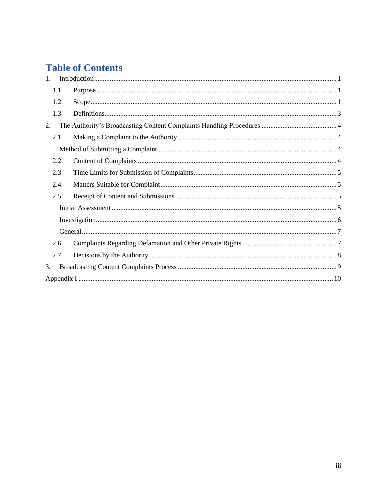# **Table of Contents**

| $1_{\cdot}$ |  |  |  |
|-------------|--|--|--|
| 1.1.        |  |  |  |
| 1.2.        |  |  |  |
| 1.3.        |  |  |  |
| 2.          |  |  |  |
| 2.1.        |  |  |  |
|             |  |  |  |
| 2.2.        |  |  |  |
| 2.3.        |  |  |  |
| 2.4.        |  |  |  |
| 2.5.        |  |  |  |
|             |  |  |  |
|             |  |  |  |
|             |  |  |  |
| 2.6.        |  |  |  |
| 2.7.        |  |  |  |
| 3.          |  |  |  |
|             |  |  |  |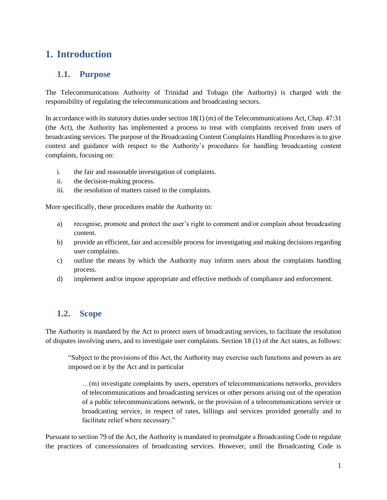# <span id="page-3-0"></span>**1. Introduction**

# <span id="page-3-1"></span>**1.1. Purpose**

The Telecommunications Authority of Trinidad and Tobago (the Authority) is charged with the responsibility of regulating the telecommunications and broadcasting sectors.

In accordance with its statutory duties under section 18(1) (m) of the Telecommunications Act, Chap. 47:31 (the Act), the Authority has implemented a process to treat with complaints received from users of broadcasting services. The purpose of the Broadcasting Content Complaints Handling Procedures is to give context and guidance with respect to the Authority's procedures for handling broadcasting content complaints, focusing on:

- i. the fair and reasonable investigation of complaints.
- ii. the decision-making process.
- iii. the resolution of matters raised in the complaints.

More specifically, these procedures enable the Authority to:

- a) recognise, promote and protect the user's right to comment and/or complain about broadcasting content.
- b) provide an efficient, fair and accessible process for investigating and making decisions regarding user complaints.
- c) outline the means by which the Authority may inform users about the complaints handling process.
- d) implement and/or impose appropriate and effective methods of compliance and enforcement.

# <span id="page-3-2"></span>**1.2. Scope**

The Authority is mandated by the Act to protect users of broadcasting services, to facilitate the resolution of disputes involving users, and to investigate user complaints. Section 18 (1) of the Act states, as follows:

"Subject to the provisions of this Act, the Authority may exercise such functions and powers as are imposed on it by the Act and in particular

…(m) investigate complaints by users, operators of telecommunications networks, providers of telecommunications and broadcasting services or other persons arising out of the operation of a public telecommunications network, or the provision of a telecommunications service or broadcasting service, in respect of rates, billings and services provided generally and to facilitate relief where necessary."

Pursuant to section 79 of the Act, the Authority is mandated to promulgate a Broadcasting Code to regulate the practices of concessionaires of broadcasting services. However, until the Broadcasting Code is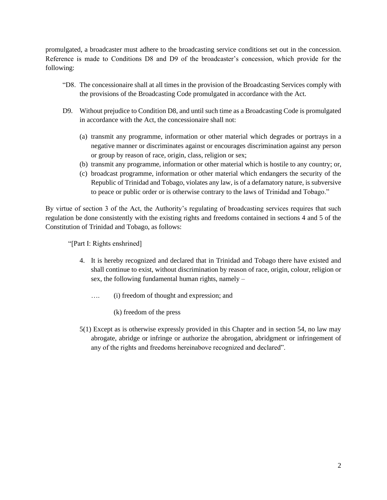promulgated, a broadcaster must adhere to the broadcasting service conditions set out in the concession. Reference is made to Conditions D8 and D9 of the broadcaster's concession, which provide for the following:

- "D8. The concessionaire shall at all times in the provision of the Broadcasting Services comply with the provisions of the Broadcasting Code promulgated in accordance with the Act.
- D9. Without prejudice to Condition D8, and until such time as a Broadcasting Code is promulgated in accordance with the Act, the concessionaire shall not:
	- (a) transmit any programme, information or other material which degrades or portrays in a negative manner or discriminates against or encourages discrimination against any person or group by reason of race, origin, class, religion or sex;
	- (b) transmit any programme, information or other material which is hostile to any country; or,
	- (c) broadcast programme, information or other material which endangers the security of the Republic of Trinidad and Tobago, violates any law, is of a defamatory nature, is subversive to peace or public order or is otherwise contrary to the laws of Trinidad and Tobago."

By virtue of section 3 of the Act, the Authority's regulating of broadcasting services requires that such regulation be done consistently with the existing rights and freedoms contained in sections 4 and 5 of the Constitution of Trinidad and Tobago, as follows:

"[Part I: Rights enshrined]

- 4. It is hereby recognized and declared that in Trinidad and Tobago there have existed and shall continue to exist, without discrimination by reason of race, origin, colour, religion or sex, the following fundamental human rights, namely –
	- …. (i) freedom of thought and expression; and
		- (k) freedom of the press
- 5(1) Except as is otherwise expressly provided in this Chapter and in section 54, no law may abrogate, abridge or infringe or authorize the abrogation, abridgment or infringement of any of the rights and freedoms hereinabove recognized and declared".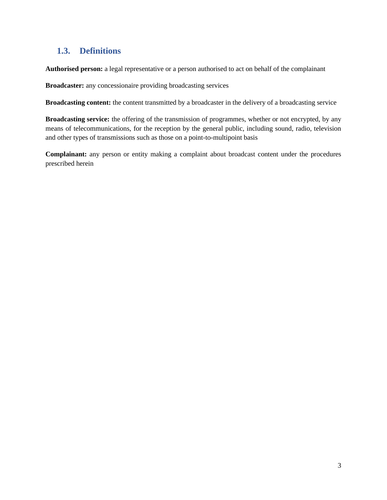# <span id="page-5-0"></span>**1.3. Definitions**

**Authorised person:** a legal representative or a person authorised to act on behalf of the complainant

**Broadcaster:** any concessionaire providing broadcasting services

**Broadcasting content:** the content transmitted by a broadcaster in the delivery of a broadcasting service

**Broadcasting service:** the offering of the transmission of programmes, whether or not encrypted, by any means of telecommunications, for the reception by the general public, including sound, radio, television and other types of transmissions such as those on a point-to-multipoint basis

**Complainant:** any person or entity making a complaint about broadcast content under the procedures prescribed herein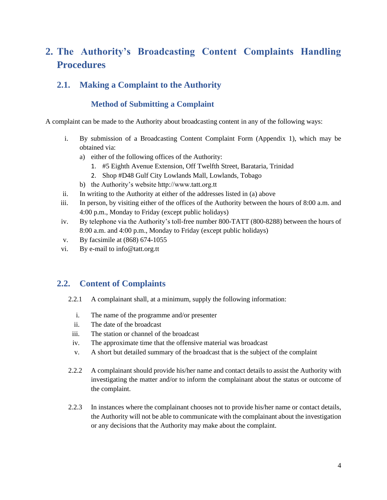# <span id="page-6-0"></span>**2. The Authority's Broadcasting Content Complaints Handling Procedures**

# <span id="page-6-2"></span><span id="page-6-1"></span>**2.1. Making a Complaint to the Authority**

## **Method of Submitting a Complaint**

A complaint can be made to the Authority about broadcasting content in any of the following ways:

- i. By submission of a Broadcasting Content Complaint Form (Appendix 1), which may be obtained via:
	- a) either of the following offices of the Authority:
		- 1. #5 Eighth Avenue Extension, Off Twelfth Street, Barataria, Trinidad
		- 2. Shop #D48 Gulf City Lowlands Mall, Lowlands, Tobago
	- b) the Authority's website http://www.tatt.org.tt
- ii. In writing to the Authority at either of the addresses listed in (a) above
- iii. In person, by visiting either of the offices of the Authority between the hours of 8:00 a.m. and 4:00 p.m., Monday to Friday (except public holidays)
- iv. By telephone via the Authority's toll-free number 800-TATT (800-8288) between the hours of 8:00 a.m. and 4:00 p.m., Monday to Friday (except public holidays)
- v. By facsimile at (868) 674-1055
- vi. By e-mail to info@tatt.org.tt

## <span id="page-6-3"></span>**2.2. Content of Complaints**

- 2.2.1 A complainant shall, at a minimum, supply the following information:
	- i. The name of the programme and/or presenter
	- ii. The date of the broadcast
	- iii. The station or channel of the broadcast
	- iv. The approximate time that the offensive material was broadcast
	- v. A short but detailed summary of the broadcast that is the subject of the complaint
- 2.2.2 A complainant should provide his/her name and contact details to assist the Authority with investigating the matter and/or to inform the complainant about the status or outcome of the complaint.
- 2.2.3 In instances where the complainant chooses not to provide his/her name or contact details, the Authority will not be able to communicate with the complainant about the investigation or any decisions that the Authority may make about the complaint.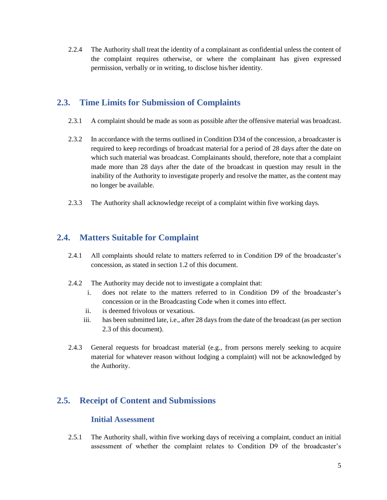2.2.4 The Authority shall treat the identity of a complainant as confidential unless the content of the complaint requires otherwise, or where the complainant has given expressed permission, verbally or in writing, to disclose his/her identity.

## <span id="page-7-0"></span>**2.3. Time Limits for Submission of Complaints**

- 2.3.1 A complaint should be made as soon as possible after the offensive material was broadcast.
- 2.3.2 In accordance with the terms outlined in Condition D34 of the concession, a broadcaster is required to keep recordings of broadcast material for a period of 28 days after the date on which such material was broadcast. Complainants should, therefore, note that a complaint made more than 28 days after the date of the broadcast in question may result in the inability of the Authority to investigate properly and resolve the matter, as the content may no longer be available.
- 2.3.3 The Authority shall acknowledge receipt of a complaint within five working days.

# <span id="page-7-1"></span>**2.4. Matters Suitable for Complaint**

- 2.4.1 All complaints should relate to matters referred to in Condition D9 of the broadcaster's concession, as stated in section 1.2 of this document.
- 2.4.2 The Authority may decide not to investigate a complaint that:
	- i. does not relate to the matters referred to in Condition D9 of the broadcaster's concession or in the Broadcasting Code when it comes into effect.
	- ii. is deemed frivolous or vexatious.
	- iii. has been submitted late, i.e., after 28 days from the date of the broadcast (as per section 2.3 of this document).
- 2.4.3 General requests for broadcast material (e.g., from persons merely seeking to acquire material for whatever reason without lodging a complaint) will not be acknowledged by the Authority.

# <span id="page-7-3"></span><span id="page-7-2"></span>**2.5. Receipt of Content and Submissions**

#### **Initial Assessment**

2.5.1 The Authority shall, within five working days of receiving a complaint, conduct an initial assessment of whether the complaint relates to Condition D9 of the broadcaster's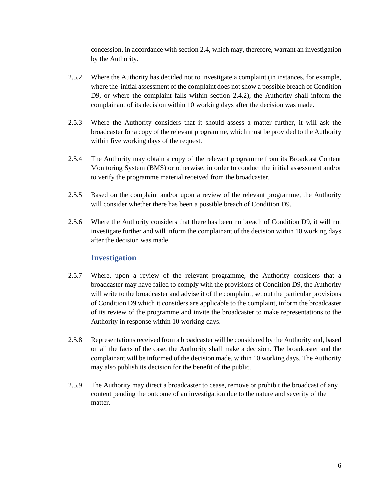concession, in accordance with section 2.4, which may, therefore, warrant an investigation by the Authority.

- 2.5.2 Where the Authority has decided not to investigate a complaint (in instances, for example, where the initial assessment of the complaint does not show a possible breach of Condition D9, or where the complaint falls within section 2.4.2), the Authority shall inform the complainant of its decision within 10 working days after the decision was made.
- 2.5.3 Where the Authority considers that it should assess a matter further, it will ask the broadcaster for a copy of the relevant programme, which must be provided to the Authority within five working days of the request.
- 2.5.4 The Authority may obtain a copy of the relevant programme from its Broadcast Content Monitoring System (BMS) or otherwise, in order to conduct the initial assessment and/or to verify the programme material received from the broadcaster.
- 2.5.5 Based on the complaint and/or upon a review of the relevant programme, the Authority will consider whether there has been a possible breach of Condition D9.
- 2.5.6 Where the Authority considers that there has been no breach of Condition D9, it will not investigate further and will inform the complainant of the decision within 10 working days after the decision was made.

#### **Investigation**

- <span id="page-8-0"></span>2.5.7 Where, upon a review of the relevant programme, the Authority considers that a broadcaster may have failed to comply with the provisions of Condition D9, the Authority will write to the broadcaster and advise it of the complaint, set out the particular provisions of Condition D9 which it considers are applicable to the complaint, inform the broadcaster of its review of the programme and invite the broadcaster to make representations to the Authority in response within 10 working days.
- 2.5.8 Representations received from a broadcaster will be considered by the Authority and, based on all the facts of the case, the Authority shall make a decision. The broadcaster and the complainant will be informed of the decision made, within 10 working days. The Authority may also publish its decision for the benefit of the public.
- 2.5.9 The Authority may direct a broadcaster to cease, remove or prohibit the broadcast of any content pending the outcome of an investigation due to the nature and severity of the matter.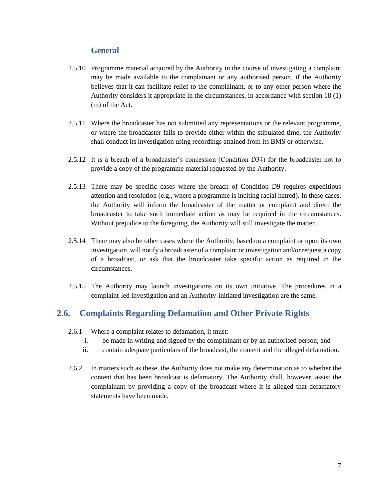#### **General**

- <span id="page-9-0"></span>2.5.10 Programme material acquired by the Authority in the course of investigating a complaint may be made available to the complainant or any authorised person, if the Authority believes that it can facilitate relief to the complainant, or to any other person where the Authority considers it appropriate in the circumstances, in accordance with section 18 (1) (m) of the Act.
- 2.5.11 Where the broadcaster has not submitted any representations or the relevant programme, or where the broadcaster fails to provide either within the stipulated time, the Authority shall conduct its investigation using recordings attained from its BMS or otherwise.
- 2.5.12 It is a breach of a broadcaster's concession (Condition D34) for the broadcaster not to provide a copy of the programme material requested by the Authority.
- 2.5.13 There may be specific cases where the breach of Condition D9 requires expeditious attention and resolution (e.g., where a programme is inciting racial hatred). In these cases, the Authority will inform the broadcaster of the matter or complaint and direct the broadcaster to take such immediate action as may be required in the circumstances. Without prejudice to the foregoing, the Authority will still investigate the matter.
- 2.5.14 There may also be other cases where the Authority, based on a complaint or upon its own investigation, will notify a broadcaster of a complaint or investigation and/or request a copy of a broadcast, or ask that the broadcaster take specific action as required in the circumstances.
- 2.5.15 The Authority may launch investigations on its own initiative. The procedures in a complaint-led investigation and an Authority-initiated investigation are the same.

# <span id="page-9-1"></span>**2.6. Complaints Regarding Defamation and Other Private Rights**

- 2.6.1 Where a complaint relates to defamation, it must:
	- i. be made in writing and signed by the complainant or by an authorised person; and
	- ii. contain adequate particulars of the broadcast, the content and the alleged defamation.
- 2.6.2 In matters such as these, the Authority does not make any determination as to whether the content that has been broadcast is defamatory. The Authority shall, however, assist the complainant by providing a copy of the broadcast where it is alleged that defamatory statements have been made.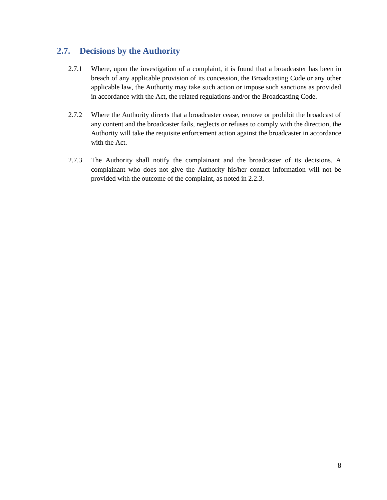# <span id="page-10-0"></span>**2.7. Decisions by the Authority**

- 2.7.1 Where, upon the investigation of a complaint, it is found that a broadcaster has been in breach of any applicable provision of its concession, the Broadcasting Code or any other applicable law, the Authority may take such action or impose such sanctions as provided in accordance with the Act, the related regulations and/or the Broadcasting Code.
- 2.7.2 Where the Authority directs that a broadcaster cease, remove or prohibit the broadcast of any content and the broadcaster fails, neglects or refuses to comply with the direction, the Authority will take the requisite enforcement action against the broadcaster in accordance with the Act.
- 2.7.3 The Authority shall notify the complainant and the broadcaster of its decisions. A complainant who does not give the Authority his/her contact information will not be provided with the outcome of the complaint, as noted in 2.2.3.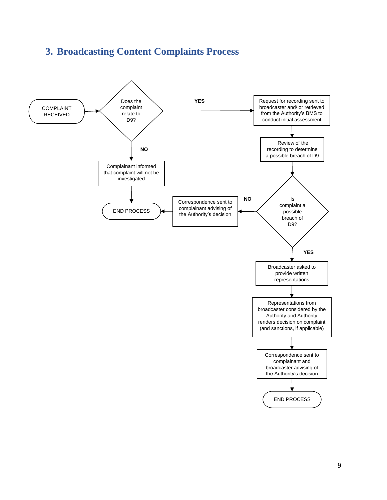# <span id="page-11-0"></span>**3. Broadcasting Content Complaints Process**

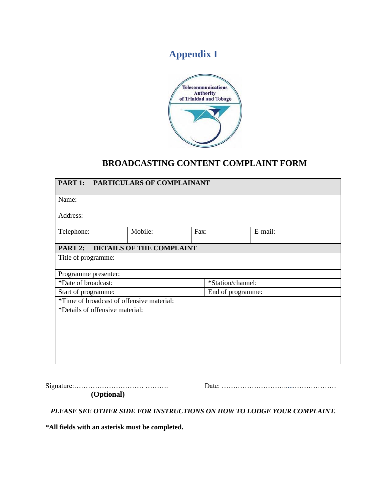# **Appendix I**

<span id="page-12-0"></span>

# **BROADCASTING CONTENT COMPLAINT FORM**

| PART 1:<br><b>PARTICULARS OF COMPLAINANT</b> |                          |      |                   |  |  |  |
|----------------------------------------------|--------------------------|------|-------------------|--|--|--|
| Name:                                        |                          |      |                   |  |  |  |
| Address:                                     |                          |      |                   |  |  |  |
| Telephone:                                   | Mobile:                  | Fax: | E-mail:           |  |  |  |
| PART 2:                                      | DETAILS OF THE COMPLAINT |      |                   |  |  |  |
| Title of programme:                          |                          |      |                   |  |  |  |
| Programme presenter:                         |                          |      |                   |  |  |  |
| *Date of broadcast:                          |                          |      | *Station/channel: |  |  |  |
| Start of programme:                          |                          |      | End of programme: |  |  |  |
| *Time of broadcast of offensive material:    |                          |      |                   |  |  |  |
| *Details of offensive material:              |                          |      |                   |  |  |  |
|                                              |                          |      |                   |  |  |  |
|                                              |                          |      |                   |  |  |  |
|                                              |                          |      |                   |  |  |  |
|                                              |                          |      |                   |  |  |  |
|                                              |                          |      |                   |  |  |  |
|                                              |                          |      |                   |  |  |  |

Signature:………………………… ………. Date: ………………………......………………

**(Optional)** 

*PLEASE SEE OTHER SIDE FOR INSTRUCTIONS ON HOW TO LODGE YOUR COMPLAINT.* 

**\*All fields with an asterisk must be completed.**